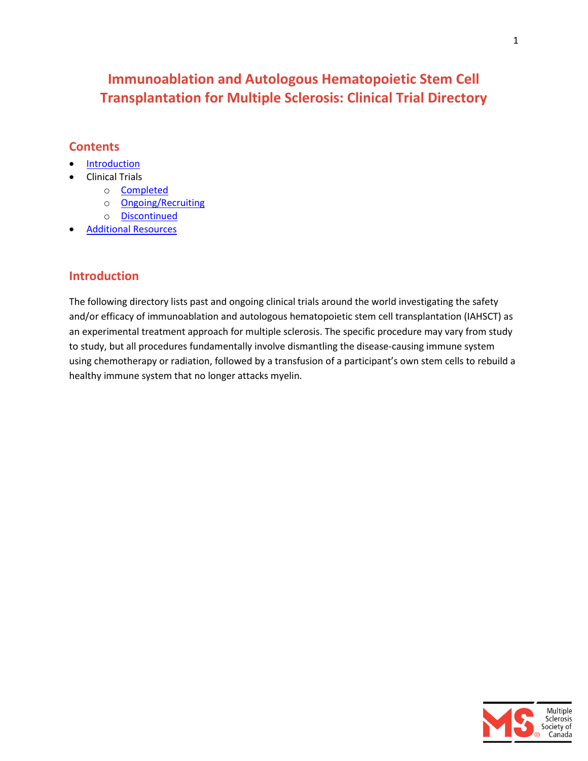# **Immunoablation and Autologous Hematopoietic Stem Cell Transplantation for Multiple Sclerosis: Clinical Trial Directory**

#### **Contents**

- **[Introduction](#page-0-0)**
- Clinical Trials
	- o [Completed](#page-1-0)
	- o [Ongoing/Recruiting](#page-12-0)
	- o [Discontinued](#page-15-0)
- [Additional Resources](#page-17-0)

### <span id="page-0-0"></span>**Introduction**

The following directory lists past and ongoing clinical trials around the world investigating the safety and/or efficacy of immunoablation and autologous hematopoietic stem cell transplantation (IAHSCT) as an experimental treatment approach for multiple sclerosis. The specific procedure may vary from study to study, but all procedures fundamentally involve dismantling the disease-causing immune system using chemotherapy or radiation, followed by a transfusion of a participant's own stem cells to rebuild a healthy immune system that no longer attacks myelin.

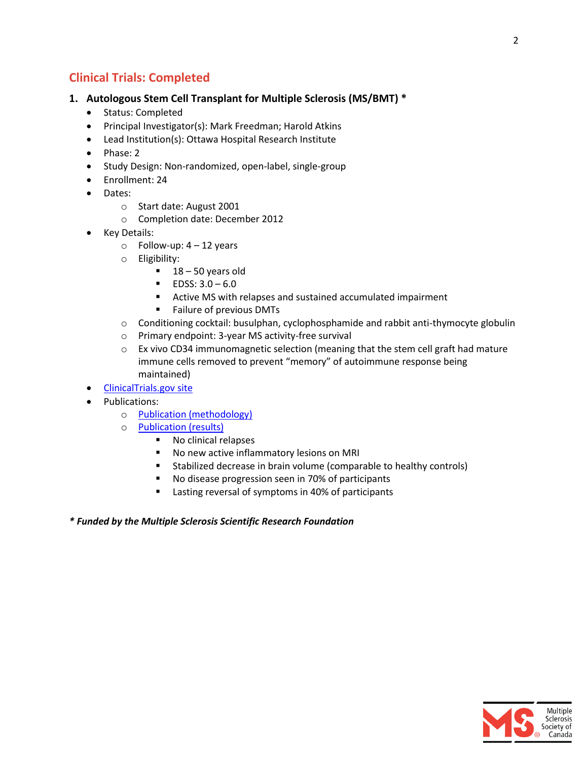### <span id="page-1-0"></span>**Clinical Trials: Completed**

#### **1. Autologous Stem Cell Transplant for Multiple Sclerosis (MS/BMT) \***

- Status: Completed
- Principal Investigator(s): Mark Freedman; Harold Atkins
- Lead Institution(s): Ottawa Hospital Research Institute
- Phase: 2
- Study Design: Non-randomized, open-label, single-group
- Enrollment: 24
- Dates:
	- o Start date: August 2001
	- o Completion date: December 2012
- Key Details:
	- $\circ$  Follow-up: 4 12 years
	- o Eligibility:
		- $18 50$  years old
		- $\blacksquare$  EDSS:  $3.0 6.0$
		- Active MS with relapses and sustained accumulated impairment
		- **Failure of previous DMTs**
	- o Conditioning cocktail: busulphan, cyclophosphamide and rabbit anti-thymocyte globulin
	- o Primary endpoint: 3-year MS activity-free survival
	- $\circ$  Ex vivo CD34 immunomagnetic selection (meaning that the stem cell graft had mature immune cells removed to prevent "memory" of autoimmune response being maintained)
- [ClinicalTrials.gov site](https://clinicaltrials.gov/ct2/show/NCT01099930?term=NCT01099930&rank=1)
- Publications:
	- o [Publication \(methodology\)](http://www.ncbi.nlm.nih.gov/pubmed/19378207)
	- o [Publication \(results\)](http://www.thelancet.com/journals/lancet/article/PIIS0140-6736(16)30169-6/abstract)
		- No clinical relapses
		- No new active inflammatory lesions on MRI
		- Stabilized decrease in brain volume (comparable to healthy controls)
		- No disease progression seen in 70% of participants
		- **EXECUTE:** Lasting reversal of symptoms in 40% of participants
- *\* Funded by the Multiple Sclerosis Scientific Research Foundation*

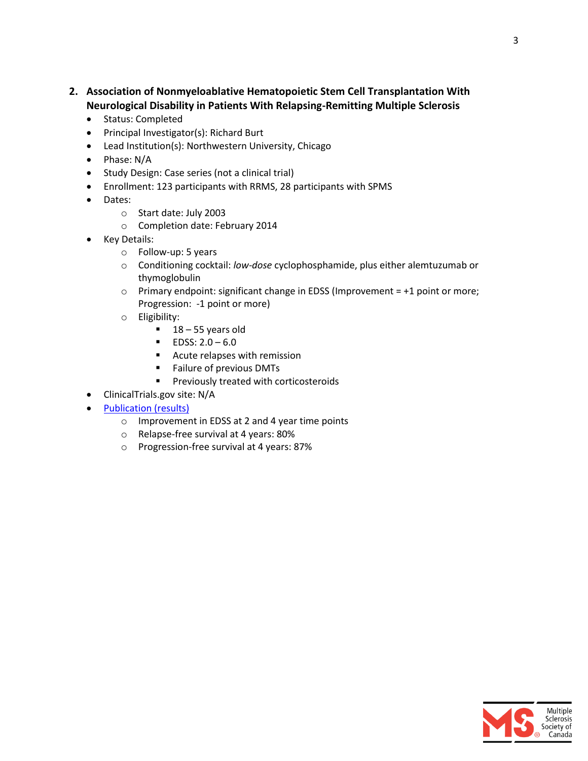- **2. Association of Nonmyeloablative Hematopoietic Stem Cell Transplantation With Neurological Disability in Patients With Relapsing-Remitting Multiple Sclerosis**
	- Status: Completed
	- Principal Investigator(s): Richard Burt
	- Lead Institution(s): Northwestern University, Chicago
	- Phase: N/A
	- Study Design: Case series (not a clinical trial)
	- Enrollment: 123 participants with RRMS, 28 participants with SPMS
	- Dates:
		- o Start date: July 2003
		- o Completion date: February 2014
	- Key Details:
		- o Follow-up: 5 years
		- o Conditioning cocktail: *low-dose* cyclophosphamide, plus either alemtuzumab or thymoglobulin
		- $\circ$  Primary endpoint: significant change in EDSS (Improvement = +1 point or more; Progression: -1 point or more)
		- o Eligibility:
			- $18 55$  years old
			- $\blacksquare$  EDSS: 2.0 6.0
			- Acute relapses with remission
			- Failure of previous DMTs
			- **Previously treated with corticosteroids**
	- ClinicalTrials.gov site: N/A
	- [Publication \(results\)](http://www.ncbi.nlm.nih.gov/pubmed/25602998)
		- o Improvement in EDSS at 2 and 4 year time points
		- o Relapse-free survival at 4 years: 80%
		- o Progression-free survival at 4 years: 87%

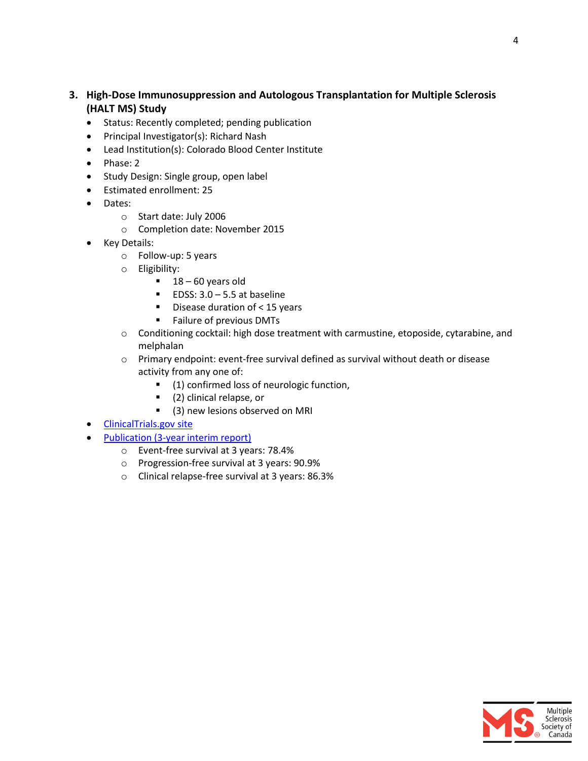#### **3. High-Dose Immunosuppression and Autologous Transplantation for Multiple Sclerosis (HALT MS) Study**

- Status: Recently completed; pending publication
- Principal Investigator(s): Richard Nash
- Lead Institution(s): Colorado Blood Center Institute
- Phase: 2
- Study Design: Single group, open label
- Estimated enrollment: 25
- Dates:
	- o Start date: July 2006
	- o Completion date: November 2015
- Key Details:
	- o Follow-up: 5 years
	- o Eligibility:
		- $18 60$  years old
		- EDSS:  $3.0 5.5$  at baseline
		- $\blacksquare$  Disease duration of < 15 years
		- **Failure of previous DMTs**
	- o Conditioning cocktail: high dose treatment with carmustine, etoposide, cytarabine, and melphalan
	- o Primary endpoint: event-free survival defined as survival without death or disease activity from any one of:
		- (1) confirmed loss of neurologic function,
		- (2) clinical relapse, or
		- **.** (3) new lesions observed on MRI
- [ClinicalTrials.gov site](https://clinicaltrials.gov/ct2/show/NCT00288626?term=Autologous+hematopoietic+stem+cell+transplantation+in+multiple+sclerosis%3A&rank=2)
- [Publication \(3-year interim report\)](http://www.ncbi.nlm.nih.gov/pubmed/25546364)
	- o Event-free survival at 3 years: 78.4%
	- o Progression-free survival at 3 years: 90.9%
	- o Clinical relapse-free survival at 3 years: 86.3%

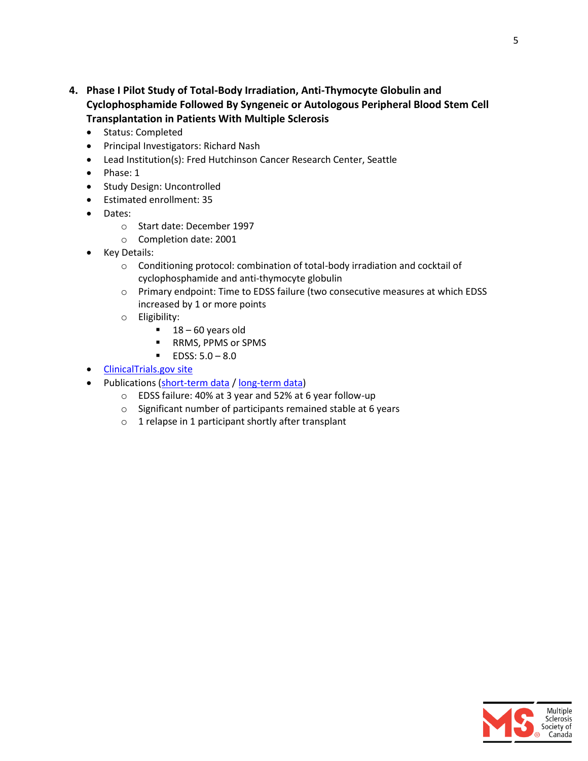- **4. Phase I Pilot Study of Total-Body Irradiation, Anti-Thymocyte Globulin and Cyclophosphamide Followed By Syngeneic or Autologous Peripheral Blood Stem Cell Transplantation in Patients With Multiple Sclerosis**
	- Status: Completed
	- **•** Principal Investigators: Richard Nash
	- Lead Institution(s): Fred Hutchinson Cancer Research Center, Seattle
	- $\bullet$  Phase: 1
	- Study Design: Uncontrolled
	- Estimated enrollment: 35
	- Dates:
		- o Start date: December 1997
		- o Completion date: 2001
	- Key Details:
		- $\circ$  Conditioning protocol: combination of total-body irradiation and cocktail of cyclophosphamide and anti-thymocyte globulin
		- o Primary endpoint: Time to EDSS failure (two consecutive measures at which EDSS increased by 1 or more points
		- o Eligibility:
			- $18 60$  years old
			- RRMS, PPMS or SPMS
			- $\blacksquare$  EDSS:  $5.0 8.0$
	- [ClinicalTrials.gov site](https://clinicaltrials.gov/ct2/show/NCT00014755?term=NCT00014755&rank=1)
	- Publications [\(short-term data](http://www.ncbi.nlm.nih.gov/pmc/articles/PMC2963562/) / [long-term data\)](http://www.ncbi.nlm.nih.gov/pmc/articles/PMC3276694/)
		- o EDSS failure: 40% at 3 year and 52% at 6 year follow-up
		- o Significant number of participants remained stable at 6 years
		- o 1 relapse in 1 participant shortly after transplant

5

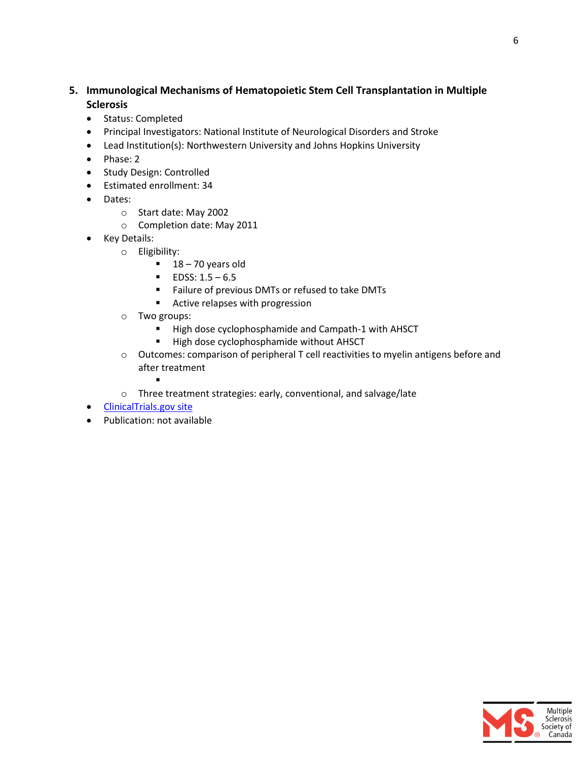#### **5. Immunological Mechanisms of Hematopoietic Stem Cell Transplantation in Multiple Sclerosis**

- Status: Completed
- Principal Investigators: National Institute of Neurological Disorders and Stroke
- Lead Institution(s): Northwestern University and Johns Hopkins University
- $\bullet$  Phase: 2
- Study Design: Controlled
- Estimated enrollment: 34
- Dates:
	- o Start date: May 2002
	- o Completion date: May 2011
- Key Details:
	- o Eligibility:
		- $18 70$  years old
		- $\blacksquare$  EDSS: 1.5 6.5
		- Failure of previous DMTs or refused to take DMTs
		- **Active relapses with progression**
	- o Two groups:

.

- High dose cyclophosphamide and Campath-1 with AHSCT
- **High dose cyclophosphamide without AHSCT**
- o Outcomes: comparison of peripheral T cell reactivities to myelin antigens before and after treatment
- o Three treatment strategies: early, conventional, and salvage/late
- [ClinicalTrials.gov site](https://clinicaltrials.gov/ct2/show/NCT00342134?term=Autologous+hematopoietic+stem+cell+transplantation+in+multiple+sclerosis%3A&rank=1)
- Publication: not available

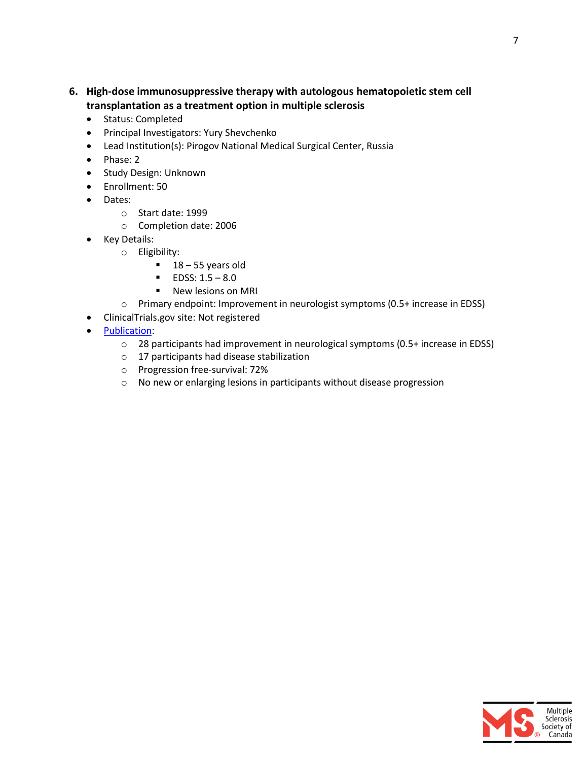- **6. High-dose immunosuppressive therapy with autologous hematopoietic stem cell transplantation as a treatment option in multiple sclerosis**
	- Status: Completed
	- **•** Principal Investigators: Yury Shevchenko
	- Lead Institution(s): Pirogov National Medical Surgical Center, Russia
	- $\bullet$  Phase: 2
	- Study Design: Unknown
	- Enrollment: 50
	- Dates:
		- o Start date: 1999
		- o Completion date: 2006
	- Key Details:
		- o Eligibility:
			- $-18 55$  years old
			- $\blacksquare$  EDSS: 1.5 8.0
			- **New lesions on MRI**
		- o Primary endpoint: Improvement in neurologist symptoms (0.5+ increase in EDSS)
	- ClinicalTrials.gov site: Not registered
	- [Publication:](http://www.ncbi.nlm.nih.gov/pubmed/18468768)
		- o 28 participants had improvement in neurological symptoms (0.5+ increase in EDSS)
		- o 17 participants had disease stabilization
		- o Progression free-survival: 72%
		- o No new or enlarging lesions in participants without disease progression

7

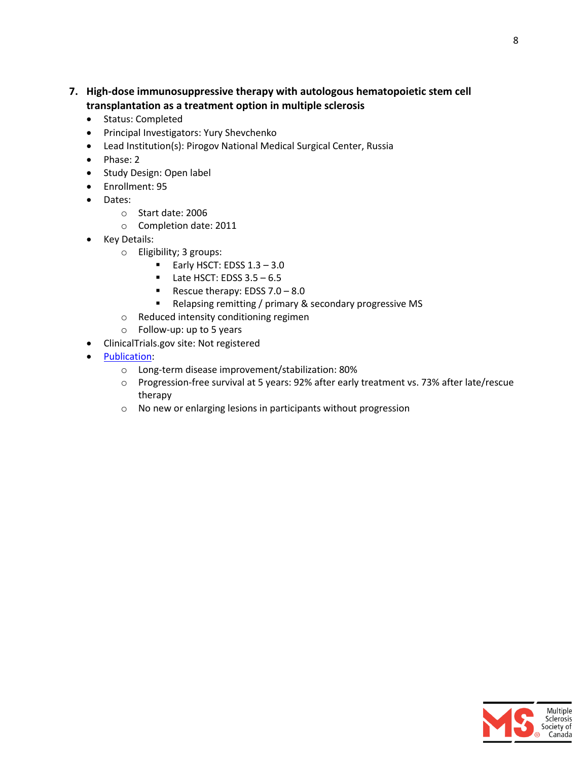- **7. High-dose immunosuppressive therapy with autologous hematopoietic stem cell transplantation as a treatment option in multiple sclerosis**
	- Status: Completed
	- **•** Principal Investigators: Yury Shevchenko
	- Lead Institution(s): Pirogov National Medical Surgical Center, Russia
	- $\bullet$  Phase: 2
	- Study Design: Open label
	- Enrollment: 95
	- Dates:
		- o Start date: 2006
		- o Completion date: 2011
	- Key Details:
		- o Eligibility; 3 groups:
			- Early HSCT: EDSS  $1.3 3.0$
			- $\blacksquare$  Late HSCT: EDSS 3.5 6.5
			- Rescue therapy: EDSS  $7.0 8.0$
			- Relapsing remitting / primary & secondary progressive MS
		- o Reduced intensity conditioning regimen
		- o Follow-up: up to 5 years
	- ClinicalTrials.gov site: Not registered
	- [Publication:](http://www.exphem.org/article/S0301-472X(12)00269-X/abstract)
		- o Long-term disease improvement/stabilization: 80%
		- o Progression-free survival at 5 years: 92% after early treatment vs. 73% after late/rescue therapy
		- o No new or enlarging lesions in participants without progression

8

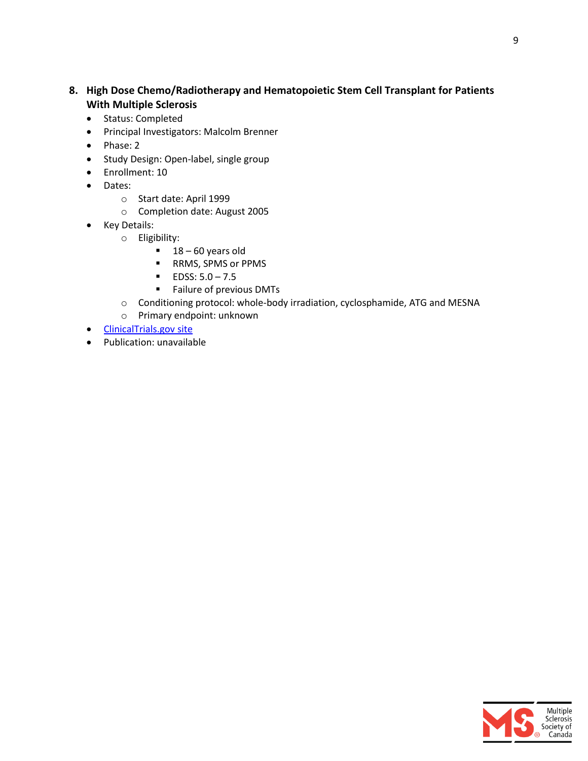#### **8. High Dose Chemo/Radiotherapy and Hematopoietic Stem Cell Transplant for Patients With Multiple Sclerosis**

- Status: Completed
- Principal Investigators: Malcolm Brenner
- Phase: 2
- Study Design: Open-label, single group
- Enrollment: 10
- Dates:
	- o Start date: April 1999
	- o Completion date: August 2005
- Key Details:
	- o Eligibility:
		- $18 60$  years old
		- RRMS, SPMS or PPMS
		- $\blacksquare$  EDSS:  $5.0 7.5$
		- **Failure of previous DMTs**
	- o Conditioning protocol: whole-body irradiation, cyclosphamide, ATG and MESNA
	- o Primary endpoint: unknown
- [ClinicalTrials.gov site](https://clinicaltrials.gov/ct2/show/NCT00040482)
- Publication: unavailable

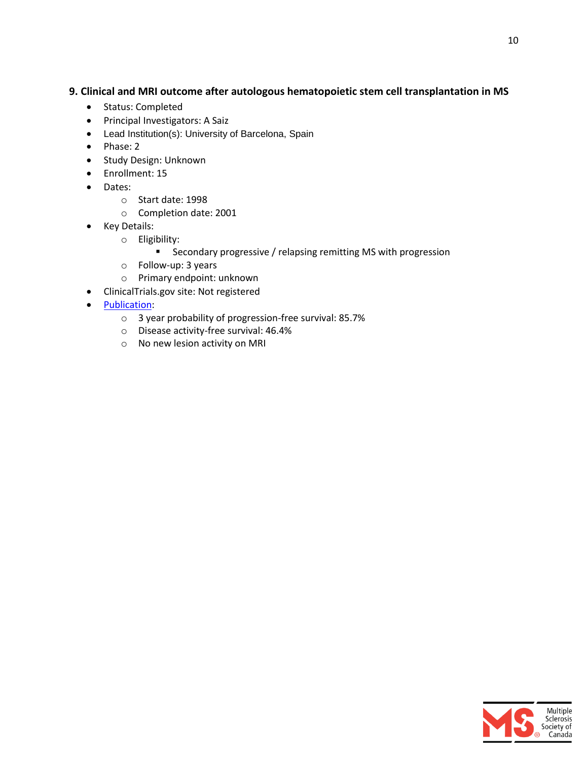#### **9. Clinical and MRI outcome after autologous hematopoietic stem cell transplantation in MS**

- Status: Completed
- Principal Investigators: A Saiz
- Lead Institution(s): University of Barcelona, Spain
- Phase: 2
- **•** Study Design: Unknown
- Enrollment: 15
- Dates:
	- o Start date: 1998
	- o Completion date: 2001
- Key Details:
	- o Eligibility:
		- **E** Secondary progressive / relapsing remitting MS with progression
	- o Follow-up: 3 years
	- o Primary endpoint: unknown
- ClinicalTrials.gov site: Not registered
- **[Publication:](http://www.ncbi.nlm.nih.gov/pubmed/14745069)** 
	- o 3 year probability of progression-free survival: 85.7%
	- o Disease activity-free survival: 46.4%
	- o No new lesion activity on MRI

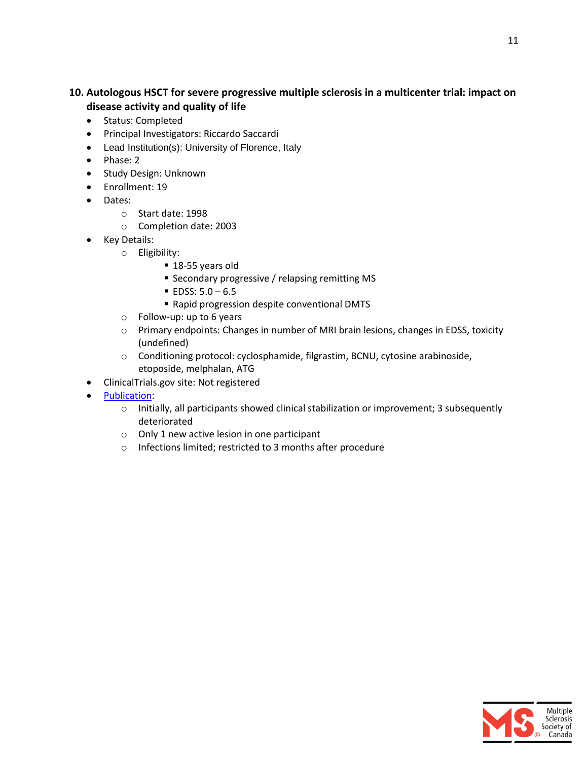#### **10. Autologous HSCT for severe progressive multiple sclerosis in a multicenter trial: impact on disease activity and quality of life**

- Status: Completed
- Principal Investigators: Riccardo Saccardi
- Lead Institution(s): University of Florence, Italy
- $\bullet$  Phase: 2
- **•** Study Design: Unknown
- Enrollment: 19
- Dates:
	- o Start date: 1998
	- o Completion date: 2003
- Key Details:
	- o Eligibility:
		- 18-55 years old
		- **Secondary progressive / relapsing remitting MS**
		- $\blacksquare$  EDSS:  $5.0 6.5$
		- Rapid progression despite conventional DMTS
	- o Follow-up: up to 6 years
	- o Primary endpoints: Changes in number of MRI brain lesions, changes in EDSS, toxicity (undefined)
	- o Conditioning protocol: cyclosphamide, filgrastim, BCNU, cytosine arabinoside, etoposide, melphalan, ATG
- ClinicalTrials.gov site: Not registered
- [Publication:](http://www.ncbi.nlm.nih.gov/pubmed/15546956)
	- $\circ$  Initially, all participants showed clinical stabilization or improvement; 3 subsequently deteriorated
	- o Only 1 new active lesion in one participant
	- o Infections limited; restricted to 3 months after procedure

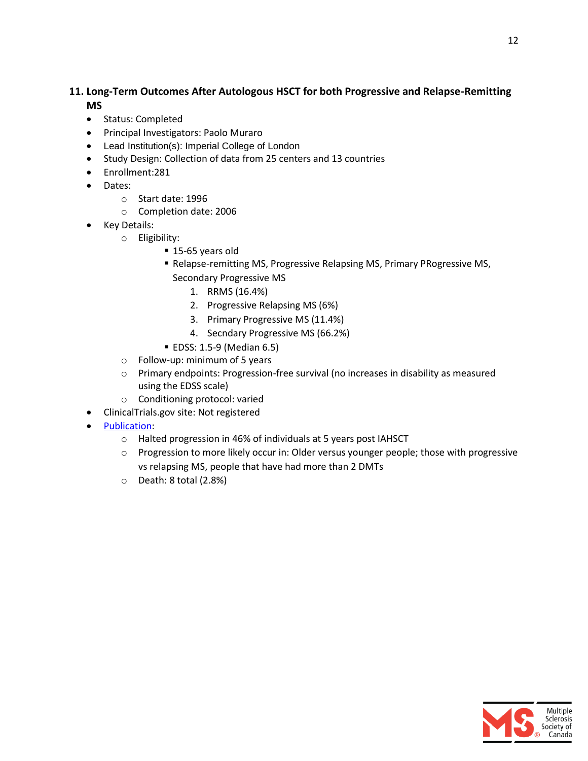#### **11. Long-Term Outcomes After Autologous HSCT for both Progressive and Relapse-Remitting MS**

- Status: Completed
- Principal Investigators: Paolo Muraro
- Lead Institution(s): Imperial College of London
- Study Design: Collection of data from 25 centers and 13 countries
- Enrollment:281
- Dates:
	- o Start date: 1996
	- o Completion date: 2006
- Key Details:
	- o Eligibility:
		- 15-65 years old
		- Relapse-remitting MS, Progressive Relapsing MS, Primary PRogressive MS, Secondary Progressive MS
			- 1. RRMS (16.4%)
			- 2. Progressive Relapsing MS (6%)
			- 3. Primary Progressive MS (11.4%)
			- 4. Secndary Progressive MS (66.2%)
		- EDSS: 1.5-9 (Median 6.5)
	- o Follow-up: minimum of 5 years
	- o Primary endpoints: Progression-free survival (no increases in disability as measured using the EDSS scale)
	- o Conditioning protocol: varied
- ClinicalTrials.gov site: Not registered
- [Publication:](https://www.ncbi.nlm.nih.gov/pubmed/28241268)
	- o Halted progression in 46% of individuals at 5 years post IAHSCT
	- o Progression to more likely occur in: Older versus younger people; those with progressive vs relapsing MS, people that have had more than 2 DMTs
	- o Death: 8 total (2.8%)

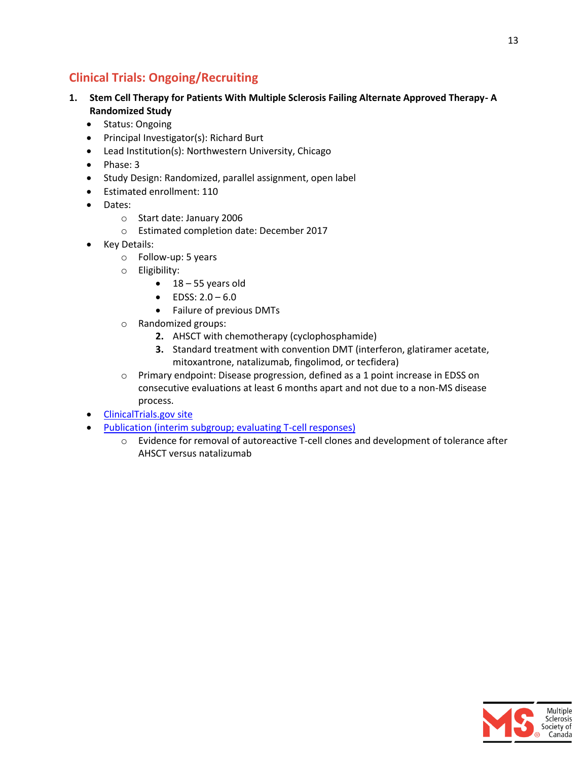## <span id="page-12-0"></span>**Clinical Trials: Ongoing/Recruiting**

- **1. Stem Cell Therapy for Patients With Multiple Sclerosis Failing Alternate Approved Therapy- A Randomized Study**
	- Status: Ongoing
	- Principal Investigator(s): Richard Burt
	- Lead Institution(s): Northwestern University, Chicago
	- $\bullet$  Phase: 3
	- Study Design: Randomized, parallel assignment, open label
	- Estimated enrollment: 110
	- Dates:
		- o Start date: January 2006
		- o Estimated completion date: December 2017
	- Key Details:
		- o Follow-up: 5 years
		- o Eligibility:
			- $\bullet$  18 55 years old
			- $\bullet$  EDSS: 2.0 6.0
			- Failure of previous DMTs
		- o Randomized groups:
			- **2.** AHSCT with chemotherapy (cyclophosphamide)
			- **3.** Standard treatment with convention DMT (interferon, glatiramer acetate, mitoxantrone, natalizumab, fingolimod, or tecfidera)
		- o Primary endpoint: Disease progression, defined as a 1 point increase in EDSS on consecutive evaluations at least 6 months apart and not due to a non-MS disease process.
	- [ClinicalTrials.gov site](https://clinicaltrials.gov/ct2/show/NCT00273364)
	- [Publication \(interim subgroup; evaluating T-cell responses\)](https://www.ncbi.nlm.nih.gov/pubmed/23721329?dopt=Abstract)
		- o Evidence for removal of autoreactive T-cell clones and development of tolerance after AHSCT versus natalizumab

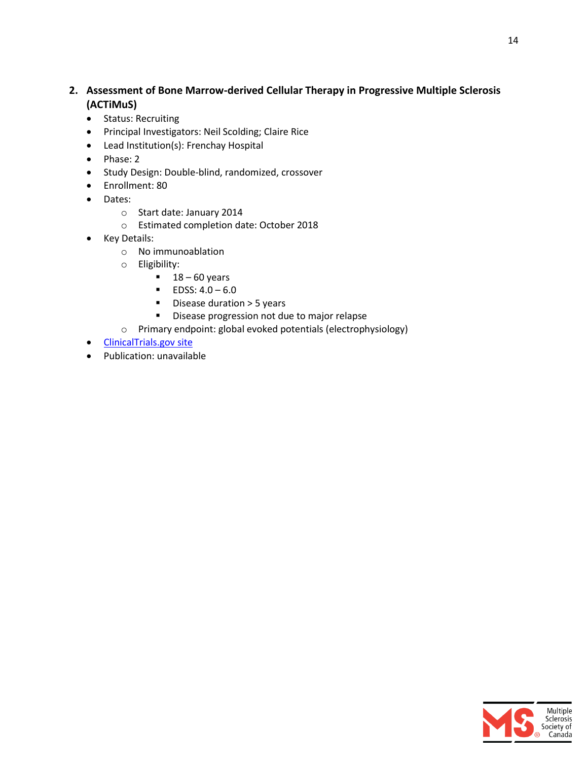#### **2. Assessment of Bone Marrow-derived Cellular Therapy in Progressive Multiple Sclerosis (ACTiMuS)**

- Status: Recruiting
- Principal Investigators: Neil Scolding; Claire Rice
- Lead Institution(s): Frenchay Hospital
- Phase: 2
- Study Design: Double-blind, randomized, crossover
- Enrollment: 80
- Dates:
	- o Start date: January 2014
	- o Estimated completion date: October 2018
- Key Details:
	- o No immunoablation
	- o Eligibility:
		- $18 60$  years
		- $\blacksquare$  EDSS: 4.0 6.0
		- Disease duration > 5 years
		- Disease progression not due to major relapse
	- o Primary endpoint: global evoked potentials (electrophysiology)
- [ClinicalTrials.gov site](https://clinicaltrials.gov/ct2/show/NCT01815632?term=NCT01815632&rank=1)
- Publication: unavailable

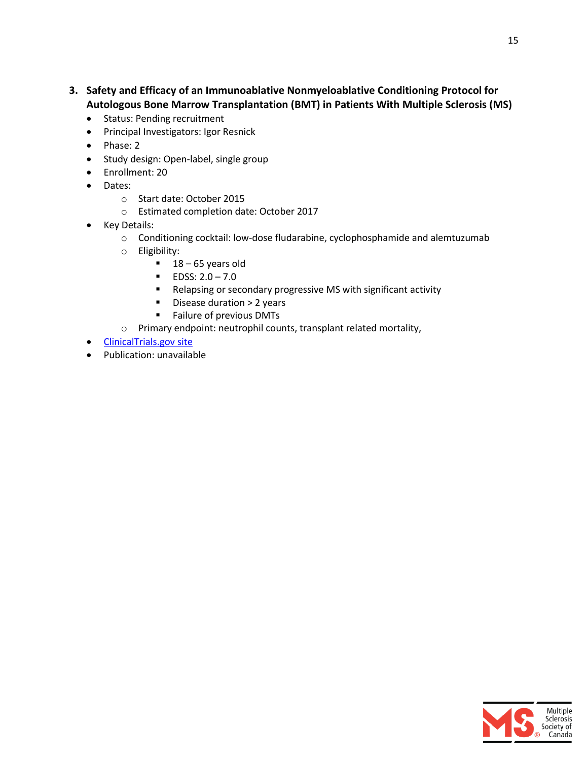- **3. Safety and Efficacy of an Immunoablative Nonmyeloablative Conditioning Protocol for Autologous Bone Marrow Transplantation (BMT) in Patients With Multiple Sclerosis (MS)**
	- Status: Pending recruitment
	- **•** Principal Investigators: Igor Resnick
	- Phase: 2
	- Study design: Open-label, single group
	- Enrollment: 20
	- Dates:
		- o Start date: October 2015
		- o Estimated completion date: October 2017
	- Key Details:
		- o Conditioning cocktail: low-dose fludarabine, cyclophosphamide and alemtuzumab
		- o Eligibility:
			- $18 65$  years old
			- $\blacksquare$  EDSS: 2.0 7.0
			- Relapsing or secondary progressive MS with significant activity
			- **Disease duration > 2 years**
			- **Failure of previous DMTs**
		- o Primary endpoint: neutrophil counts, transplant related mortality,
	- [ClinicalTrials.gov site](https://clinicaltrials.gov/ct2/show/NCT02529839)
	- Publication: unavailable

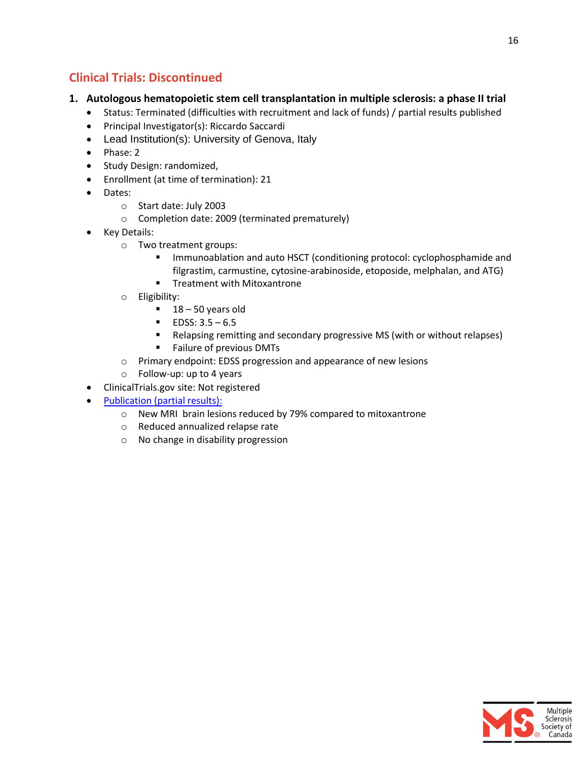### <span id="page-15-0"></span>**Clinical Trials: Discontinued**

#### **1. Autologous hematopoietic stem cell transplantation in multiple sclerosis: a phase II trial**

- Status: Terminated (difficulties with recruitment and lack of funds) / partial results published
- Principal Investigator(s): Riccardo Saccardi
- Lead Institution(s): University of Genova, Italy
- Phase: 2
- Study Design: randomized,
- Enrollment (at time of termination): 21
- Dates:
	- o Start date: July 2003
	- o Completion date: 2009 (terminated prematurely)
- Key Details:
	- o Two treatment groups:
		- **IMMUNO FROM AUTO HOMOGET ATTE:** Immunoablation and auto HSCT (conditioning protocol: cyclophosphamide and filgrastim, carmustine, cytosine-arabinoside, etoposide, melphalan, and ATG)
		- **Treatment with Mitoxantrone**
	- o Eligibility:
		- $18 50$  years old
		- $\blacksquare$  EDSS: 3.5 6.5
		- Relapsing remitting and secondary progressive MS (with or without relapses)
		- **Failure of previous DMTs**
	- o Primary endpoint: EDSS progression and appearance of new lesions
	- o Follow-up: up to 4 years
- ClinicalTrials.gov site: Not registered
- [Publication \(partial results\):](http://www.ncbi.nlm.nih.gov/pubmed/25672923)
	- o New MRI brain lesions reduced by 79% compared to mitoxantrone
	- o Reduced annualized relapse rate
	- o No change in disability progression

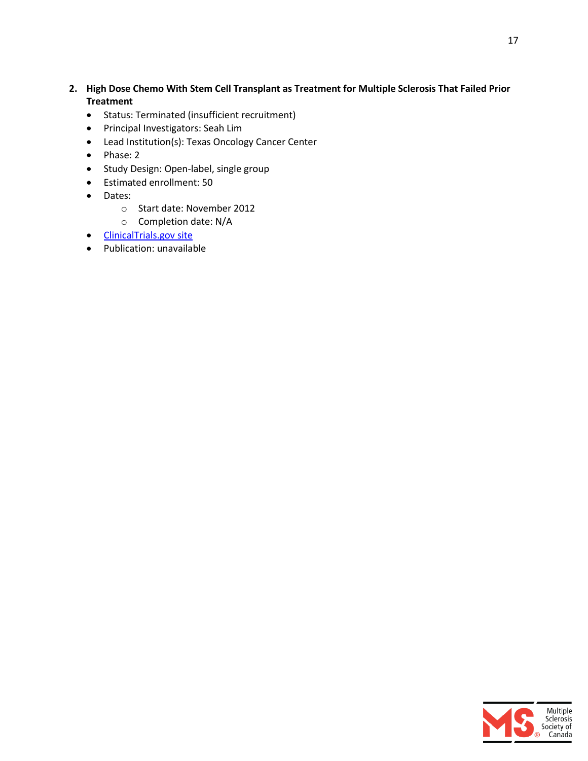- **2. High Dose Chemo With Stem Cell Transplant as Treatment for Multiple Sclerosis That Failed Prior Treatment**
	- Status: Terminated (insufficient recruitment)
	- Principal Investigators: Seah Lim
	- Lead Institution(s): Texas Oncology Cancer Center
	- Phase: 2
	- Study Design: Open-label, single group
	- Estimated enrollment: 50
	- Dates:
		- o Start date: November 2012
		- o Completion date: N/A
	- [ClinicalTrials.gov site](https://clinicaltrials.gov/ct2/show/NCT01679041?term=NCT01679041&rank=1)
	- Publication: unavailable